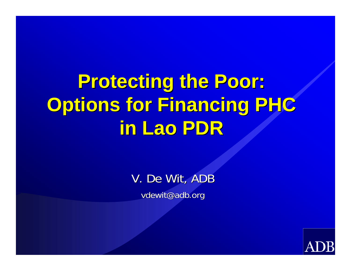# **Protecting the Poor: Protecting the Poor: Options for Financing PHC Options for Financing PHC in Lao PDR in Lao PDR**

V. De Wit, ADB vdewit@adb.org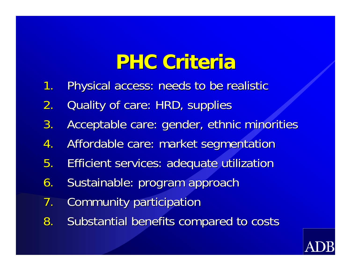## **PHC Criteria PHC Criteria**

- 1.Physical access: needs to be realistic
- 2.Quality of care: HRD, supplies
- 3.Acceptable care: gender, ethnic minorities
- 4.Affordable care: market segmentation
- 5.**Efficient services: adequate utilization**
- 6.Sustainable: program approach
- 7.Community participation
- 8. Substantial benefits compared to costs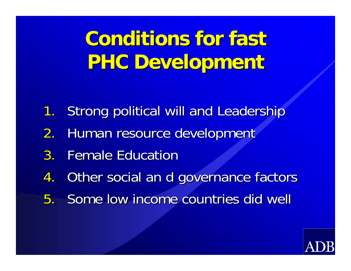**Conditions for fast PHC Development PHC Development** 

- 1.Strong political will and Leadership
- 2.Human resource development
- 3. Female Education
- 4.Other social an d governance factors
- 5. Some low income countries did well

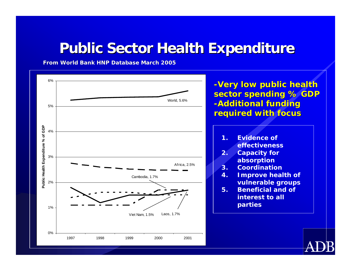#### **Public Sector Health Expenditure**

**From World Bank HNP Dat d Bank HNP Database March 2005 base March 2005**

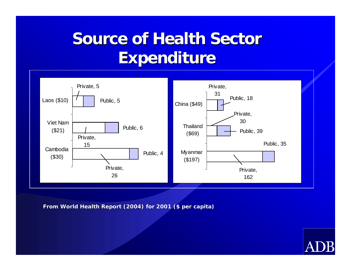#### **Source of Health Sector Expenditure Expenditure**



**from World Health Report (2004) for 2001 (\$ per capita)**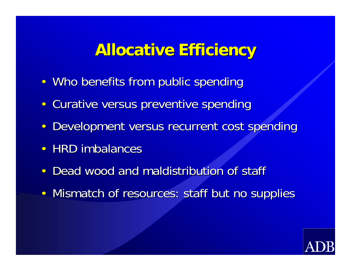#### **Allocative Allocative Efficiency Efficiency**

- Who benefits from public spending
- $\bullet$ Curative versus preventive spending
- •Development versus recurrent cost spending
- HRD imbalances
- •• Dead wood and maldistribution of staff
- $\bullet$ Mismatch of resources: staff but no supplies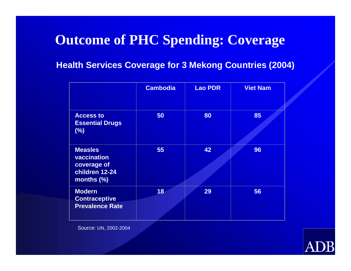#### **Outcome of PHC Spending: Coverage**

#### **Health Services Coverage for 3 Mekong Countries (2004)**

|                                                                              | <b>Cambodia</b> | <b>Lao PDR</b> | <b>Viet Nam</b> |
|------------------------------------------------------------------------------|-----------------|----------------|-----------------|
| <b>Access to</b><br><b>Essential Drugs</b><br>(%)                            | 50              | 80             | 85              |
| <b>Measles</b><br>vaccination<br>coverage of<br>children 12-24<br>months (%) | 55              | 42             | 96              |
| <b>Modern</b><br><b>Contraceptive</b><br><b>Prevalence Rate</b>              | 18              | 29             | 56              |

Source: UN, 2002-2004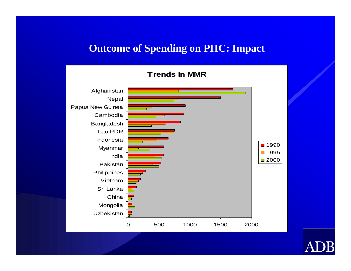#### **Outcome of Spending on PHC: Impact**

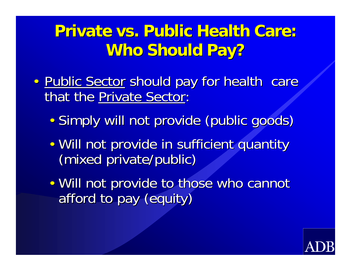#### **Private vs. Public Health Care: Who Should Pay?**

- •• Public Sector should pay for health care that the Private Sector:
	- •· Simply will not provide (public goods)
	- •• Will not provide in sufficient quantity (mixed private/public) (mixed private/public)
	- •• Will not provide to those who cannot afford to pay (equity)

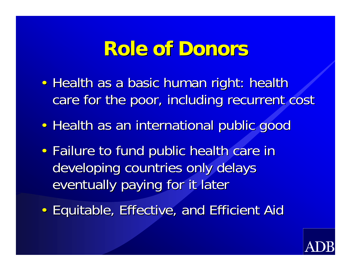## **Role of Donors Role of Donors**

- •• Health as a basic human right: health care for the poor, including recurrent cost
- •• Health as an international public good
- •• Failure to fund public health care in developing countries only delays eventually paying for it later
- •• Equitable, Effective, and Efficient Aid

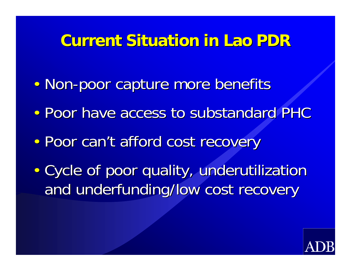#### **Current Situation in Lao PDR**

- •• Non-poor capture more benefits
- •• Poor have access to substandard PHC
- •• Poor can't afford cost recovery
- •• Cycle of poor quality, underutilization and underfunding/low cost recovery

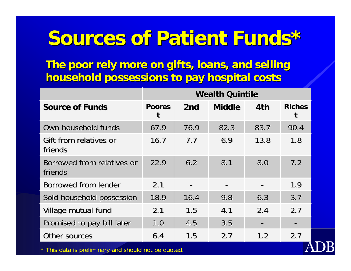# **Sources of Patient Funds\* Sources of Patient Funds\***

**The poor rely more on gifts, loans, and selling The poor rely more on gifts, loans, and selling household possessions to pay hospital costs household possessions to pay hospital costs**

|                                       |               |                 | <b>Wealth Quintile</b> |               |               |
|---------------------------------------|---------------|-----------------|------------------------|---------------|---------------|
| <b>Source of Funds</b>                | <b>Poores</b> | 2 <sub>nd</sub> | <b>Middle</b>          | 4th           | <b>Riches</b> |
| Own household funds                   | 67.9          | 76.9            | 82.3                   | 83.7          | 90.4          |
| Gift from relatives or<br>friends     | 16.7          | 7.7             | 6.9                    | 13.8          | 1.8           |
| Borrowed from relatives or<br>friends | 22.9          | 6.2             | 8.1                    | 8.0           | 7.2           |
| Borrowed from lender                  | 2.1           |                 |                        |               | 1.9           |
| Sold household possession             | 18.9          | 16.4            | 9.8                    | 6.3           | 3.7           |
| Village mutual fund                   | 2.1           | 1.5             | 4.1                    | 2.4           | 2.7           |
| Promised to pay bill later            | 1.0           | 4.5             | 3.5                    |               |               |
| Other sources                         | 6.4           | 1.5             | 2.7                    | $1.2^{\circ}$ | 2.7           |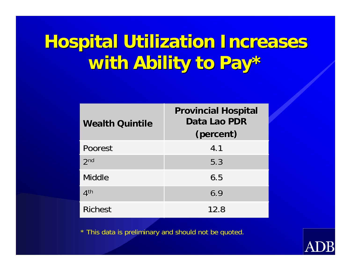# **Hospital Utilization Increases with Ability to Pay\* with Ability to Pay\***

| <b>Wealth Quintile</b> | <b>Provincial Hospital</b><br>Data Lao PDR<br>(percent) |
|------------------------|---------------------------------------------------------|
| <b>Poorest</b>         | 4.1                                                     |
| 2 <sub>nd</sub>        | 5.3                                                     |
| Middle                 | 6.5                                                     |
| 4 <sup>th</sup>        | 6.9                                                     |
| <b>Richest</b>         | 12.8                                                    |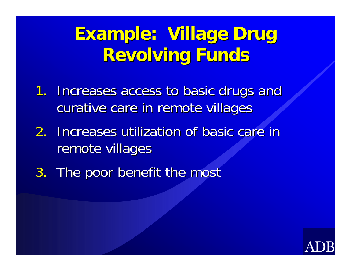## **Example: Village Drug Revolving Funds**

- 1. Increases access to basic drugs and curative care in remote villages
- 2. Increases utilization of basic care in remote villages
- 3. The poor benefit the most

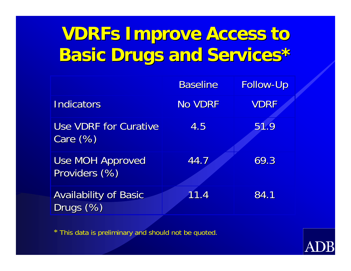### **VDRFs Improve Access to Basic Drugs and Services\***

|                                             | <b>Baseline</b> | <b>Follow-Up</b> |
|---------------------------------------------|-----------------|------------------|
| <b>Indicators</b>                           | No VDRF         | <b>VDRF</b>      |
| <b>Use VDRF for Curative</b><br>Care $(\%)$ | 4.5             | 51.9             |
| <b>Use MOH Approved</b><br>Providers (%)    | 44.7            | 69.3             |
| <b>Availability of Basic</b><br>Drugs (%)   | 11.4            | 84.1             |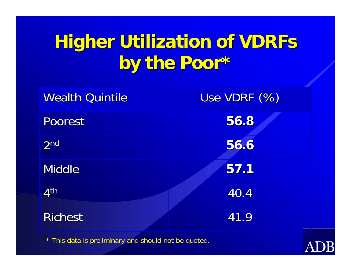# **Higher Utilization of VDRFs by the Poor\* by the Poor\***

| <b>Wealth Quintile</b> | Use VDRF (%) |
|------------------------|--------------|
| <b>Poorest</b>         | 56.8         |
| 2 <sub>nd</sub>        | 56.6         |
| <b>Middle</b>          | 57.1         |
| 4 <sup>th</sup>        | 40.4         |
| <b>Richest</b>         | 41.9         |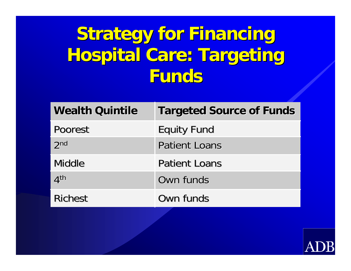# **Strategy for Financing Hospital Care: Targeting Funds**

| <b>Wealth Quintile</b> | <b>Targeted Source of Funds</b> |
|------------------------|---------------------------------|
| Poorest                | <b>Equity Fund</b>              |
| 2 <sub>nd</sub>        | <b>Patient Loans</b>            |
| Middle                 | <b>Patient Loans</b>            |
| 4 <sup>th</sup>        | Own funds                       |
| <b>Richest</b>         | Own funds                       |